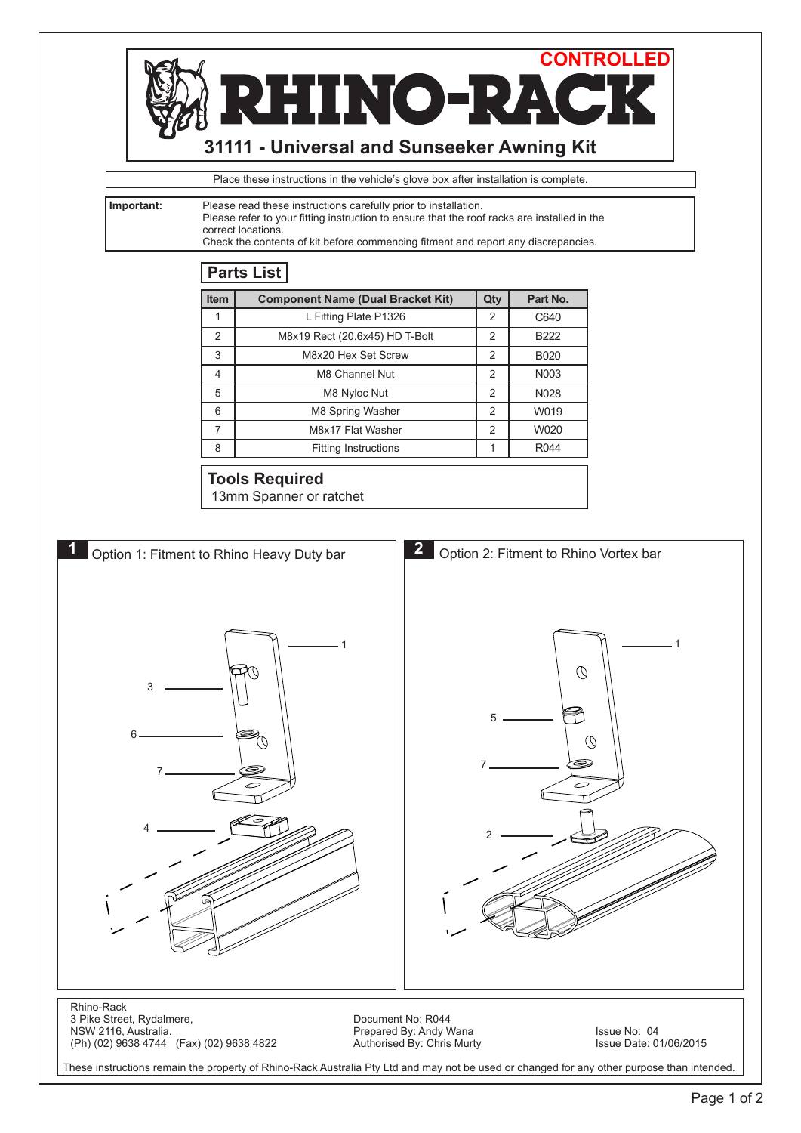

These instructions remain the property of Rhino-Rack Australia Pty Ltd and may not be used or changed for any other purpose than intended.